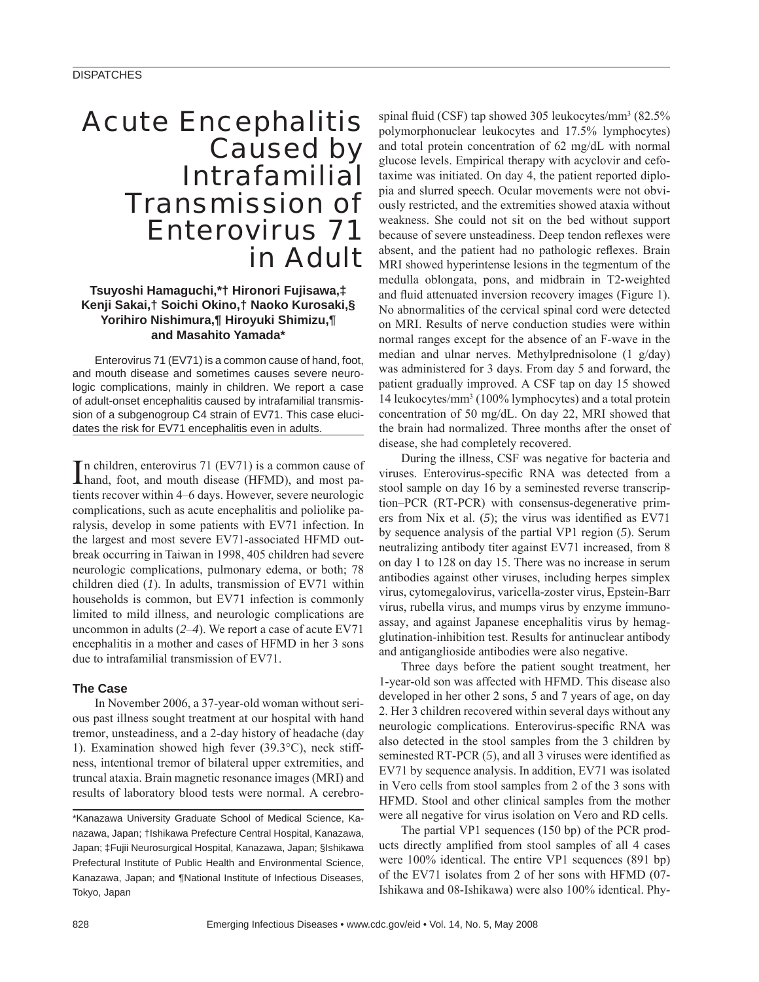# Acute Encephalitis Caused by **Intrafamilial** Transmission of Enterovirus 71 in Adult

## **Tsuyoshi Hamaguchi,\*† Hironori Fujisawa,‡ Kenji Sakai,† Soichi Okino,† Naoko Kurosaki,§ Yorihiro Nishimura,¶ Hiroyuki Shimizu,¶ and Masahito Yamada\***

Enterovirus 71 (EV71) is a common cause of hand, foot, and mouth disease and sometimes causes severe neurologic complications, mainly in children. We report a case of adult-onset encephalitis caused by intrafamilial transmission of a subgenogroup C4 strain of EV71. This case elucidates the risk for EV71 encephalitis even in adults.

In children, enterovirus 71 (EV71) is a common cause of hand, foot, and mouth disease (HFMD), and most pahand, foot, and mouth disease (HFMD), and most patients recover within 4–6 days. However, severe neurologic complications, such as acute encephalitis and poliolike paralysis, develop in some patients with EV71 infection. In the largest and most severe EV71-associated HFMD outbreak occurring in Taiwan in 1998, 405 children had severe neurologic complications, pulmonary edema, or both; 78 children died (*1*). In adults, transmission of EV71 within households is common, but EV71 infection is commonly limited to mild illness, and neurologic complications are uncommon in adults (*2*–*4*). We report a case of acute EV71 encephalitis in a mother and cases of HFMD in her 3 sons due to intrafamilial transmission of EV71.

### **The Case**

In November 2006, a 37-year-old woman without serious past illness sought treatment at our hospital with hand tremor, unsteadiness, and a 2-day history of headache (day 1). Examination showed high fever (39.3°C), neck stiffness, intentional tremor of bilateral upper extremities, and truncal ataxia. Brain magnetic resonance images (MRI) and results of laboratory blood tests were normal. A cerebro-

spinal fluid (CSF) tap showed 305 leukocytes/mm<sup>3</sup> (82.5% polymorphonuclear leukocytes and 17.5% lymphocytes) and total protein concentration of 62 mg/dL with normal glucose levels. Empirical therapy with acyclovir and cefotaxime was initiated. On day 4, the patient reported diplopia and slurred speech. Ocular movements were not obviously restricted, and the extremities showed ataxia without weakness. She could not sit on the bed without support because of severe unsteadiness. Deep tendon reflexes were absent, and the patient had no pathologic reflexes. Brain MRI showed hyperintense lesions in the tegmentum of the medulla oblongata, pons, and midbrain in T2-weighted and fluid attenuated inversion recovery images (Figure 1). No abnormalities of the cervical spinal cord were detected on MRI. Results of nerve conduction studies were within normal ranges except for the absence of an F-wave in the median and ulnar nerves. Methylprednisolone (1 g/day) was administered for 3 days. From day 5 and forward, the patient gradually improved. A CSF tap on day 15 showed 14 leukocytes/mm3 (100% lymphocytes) and a total protein concentration of 50 mg/dL. On day 22, MRI showed that the brain had normalized. Three months after the onset of disease, she had completely recovered.

During the illness, CSF was negative for bacteria and viruses. Enterovirus-specific RNA was detected from a stool sample on day 16 by a seminested reverse transcription–PCR (RT-PCR) with consensus-degenerative primers from Nix et al.  $(5)$ ; the virus was identified as EV71 by sequence analysis of the partial VP1 region (*5*). Serum neutralizing antibody titer against EV71 increased, from 8 on day 1 to 128 on day 15. There was no increase in serum antibodies against other viruses, including herpes simplex virus, cytomegalovirus, varicella-zoster virus, Epstein-Barr virus, rubella virus, and mumps virus by enzyme immunoassay, and against Japanese encephalitis virus by hemagglutination-inhibition test. Results for antinuclear antibody and antiganglioside antibodies were also negative.

Three days before the patient sought treatment, her 1-year-old son was affected with HFMD. This disease also developed in her other 2 sons, 5 and 7 years of age, on day 2. Her 3 children recovered within several days without any neurologic complications. Enterovirus-specific RNA was also detected in the stool samples from the 3 children by seminested RT-PCR (5), and all 3 viruses were identified as EV71 by sequence analysis. In addition, EV71 was isolated in Vero cells from stool samples from 2 of the 3 sons with HFMD. Stool and other clinical samples from the mother were all negative for virus isolation on Vero and RD cells.

The partial VP1 sequences (150 bp) of the PCR products directly amplified from stool samples of all 4 cases were 100% identical. The entire VP1 sequences (891 bp) of the EV71 isolates from 2 of her sons with HFMD (07- Ishikawa and 08-Ishikawa) were also 100% identical. Phy-

<sup>\*</sup>Kanazawa University Graduate School of Medical Science, Kanazawa, Japan; †Ishikawa Prefecture Central Hospital, Kanazawa, Japan; ‡Fujii Neurosurgical Hospital, Kanazawa, Japan; §Ishikawa Prefectural Institute of Public Health and Environmental Science, Kanazawa, Japan; and ¶National Institute of Infectious Diseases, Tokyo, Japan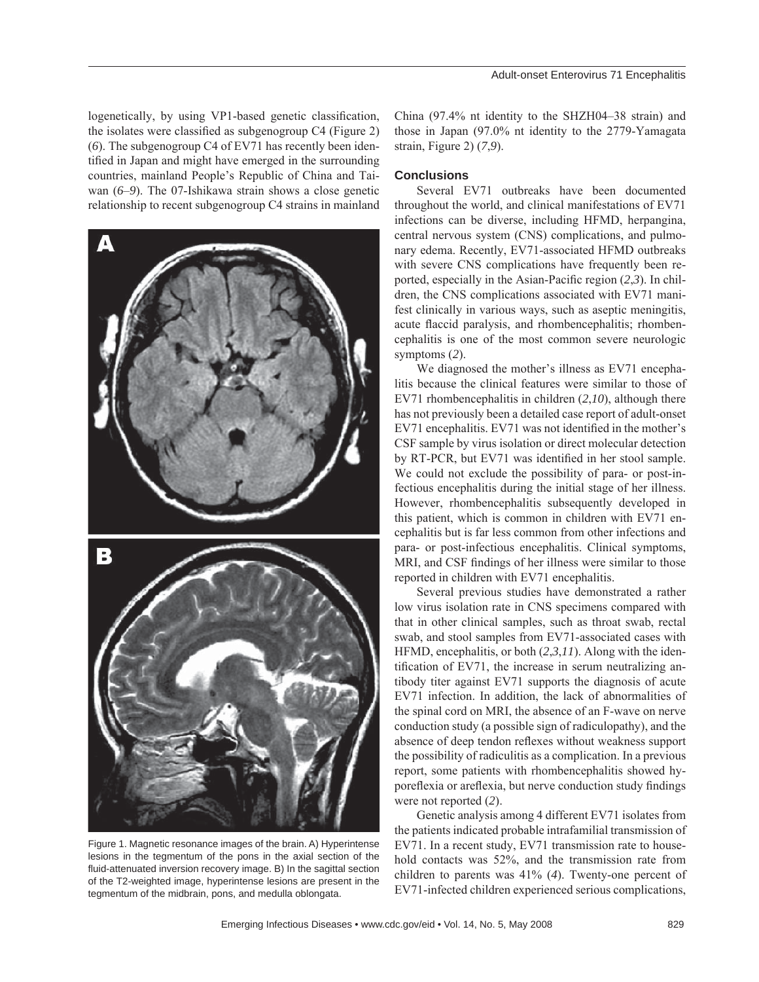logenetically, by using VP1-based genetic classification, the isolates were classified as subgenogroup  $C4$  (Figure 2) (*6*). The subgenogroup C4 of EV71 has recently been identified in Japan and might have emerged in the surrounding countries, mainland People's Republic of China and Taiwan (*6*–*9*). The 07-Ishikawa strain shows a close genetic relationship to recent subgenogroup C4 strains in mainland



Figure 1. Magnetic resonance images of the brain. A) Hyperintense lesions in the tegmentum of the pons in the axial section of the fluid-attenuated inversion recovery image. B) In the sagittal section of the T2-weighted image, hyperintense lesions are present in the tegmentum of the midbrain, pons, and medulla oblongata.

China (97.4% nt identity to the SHZH04–38 strain) and those in Japan (97.0% nt identity to the 2779-Yamagata strain, Figure 2) (*7*,*9*).

### **Conclusions**

Several EV71 outbreaks have been documented throughout the world, and clinical manifestations of EV71 infections can be diverse, including HFMD, herpangina, central nervous system (CNS) complications, and pulmonary edema. Recently, EV71-associated HFMD outbreaks with severe CNS complications have frequently been reported, especially in the Asian-Pacific region  $(2,3)$ . In children, the CNS complications associated with EV71 manifest clinically in various ways, such as aseptic meningitis, acute flaccid paralysis, and rhombencephalitis; rhombencephalitis is one of the most common severe neurologic symptoms (*2*).

We diagnosed the mother's illness as EV71 encephalitis because the clinical features were similar to those of EV71 rhombencephalitis in children (*2*,*10*), although there has not previously been a detailed case report of adult-onset EV71 encephalitis. EV71 was not identified in the mother's CSF sample by virus isolation or direct molecular detection by RT-PCR, but EV71 was identified in her stool sample. We could not exclude the possibility of para- or post-infectious encephalitis during the initial stage of her illness. However, rhombencephalitis subsequently developed in this patient, which is common in children with EV71 encephalitis but is far less common from other infections and para- or post-infectious encephalitis. Clinical symptoms, MRI, and CSF findings of her illness were similar to those reported in children with EV71 encephalitis.

Several previous studies have demonstrated a rather low virus isolation rate in CNS specimens compared with that in other clinical samples, such as throat swab, rectal swab, and stool samples from EV71-associated cases with HFMD, encephalitis, or both (*2*,*3*,*11*). Along with the identification of EV71, the increase in serum neutralizing antibody titer against EV71 supports the diagnosis of acute EV71 infection. In addition, the lack of abnormalities of the spinal cord on MRI, the absence of an F-wave on nerve conduction study (a possible sign of radiculopathy), and the absence of deep tendon reflexes without weakness support the possibility of radiculitis as a complication. In a previous report, some patients with rhombencephalitis showed hyporeflexia or areflexia, but nerve conduction study findings were not reported (*2*).

Genetic analysis among 4 different EV71 isolates from the patients indicated probable intrafamilial transmission of EV71. In a recent study, EV71 transmission rate to household contacts was 52%, and the transmission rate from children to parents was 41% (*4*). Twenty-one percent of EV71-infected children experienced serious complications,